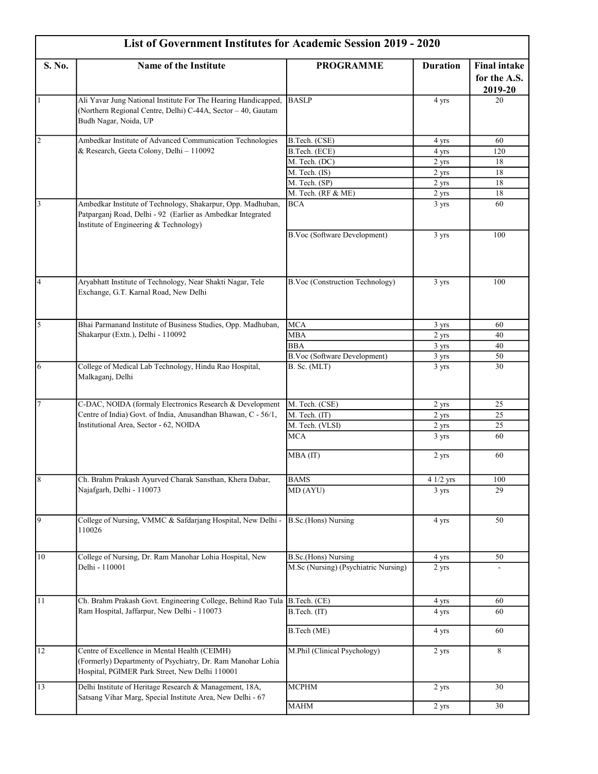| <b>List of Government Institutes for Academic Session 2019 - 2020</b> |                                                                                                                                                                      |                                      |                 |                                                |
|-----------------------------------------------------------------------|----------------------------------------------------------------------------------------------------------------------------------------------------------------------|--------------------------------------|-----------------|------------------------------------------------|
| S. No.                                                                | Name of the Institute                                                                                                                                                | <b>PROGRAMME</b>                     | <b>Duration</b> | <b>Final intake</b><br>for the A.S.<br>2019-20 |
| $\vert$ 1                                                             | Ali Yavar Jung National Institute For The Hearing Handicapped,<br>(Northern Regional Centre, Delhi) C-44A, Sector - 40, Gautam<br>Budh Nagar, Noida, UP              | <b>BASLP</b>                         | 4 yrs           | 20                                             |
| $\overline{2}$                                                        | Ambedkar Institute of Advanced Communication Technologies                                                                                                            | B.Tech. (CSE)                        | 4 yrs           | 60                                             |
|                                                                       | & Research, Geeta Colony, Delhi - 110092                                                                                                                             | B.Tech. (ECE)                        | 4 yrs           | 120                                            |
|                                                                       |                                                                                                                                                                      | M. Tech. (DC)                        | 2 yrs           | 18                                             |
|                                                                       |                                                                                                                                                                      | M. Tech. (IS)                        | 2 yrs           | 18                                             |
|                                                                       |                                                                                                                                                                      | M. Tech. (SP)                        | 2 yrs           | 18                                             |
|                                                                       |                                                                                                                                                                      | M. Tech. (RF & ME)                   | 2 yrs           | 18                                             |
| $\overline{3}$                                                        | Ambedkar Institute of Technology, Shakarpur, Opp. Madhuban,<br>Patparganj Road, Delhi - 92 (Earlier as Ambedkar Integrated<br>Institute of Engineering & Technology) | <b>BCA</b>                           | 3 yrs           | 60                                             |
|                                                                       |                                                                                                                                                                      | B.Voc (Software Development)         | 3 yrs           | 100                                            |
| $\overline{4}$                                                        | Aryabhatt Institute of Technology, Near Shakti Nagar, Tele<br>Exchange, G.T. Karnal Road, New Delhi                                                                  | B.Voc (Construction Technology)      | 3 yrs           | 100                                            |
| $\overline{5}$                                                        | Bhai Parmanand Institute of Business Studies, Opp. Madhuban,                                                                                                         | <b>MCA</b>                           | 3 yrs           | 60                                             |
|                                                                       | Shakarpur (Extn.), Delhi - 110092                                                                                                                                    | <b>MBA</b>                           | 2 yrs           | 40                                             |
|                                                                       |                                                                                                                                                                      | <b>BBA</b>                           | 3 yrs           | 40                                             |
|                                                                       |                                                                                                                                                                      | <b>B.Voc (Software Development)</b>  | 3 yrs           | 50                                             |
| 6                                                                     | College of Medical Lab Technology, Hindu Rao Hospital,<br>Malkaganj, Delhi                                                                                           | B. Sc. (MLT)                         | 3 yrs           | 30                                             |
| 17                                                                    | C-DAC, NOIDA (formaly Electronics Research & Development                                                                                                             | M. Tech. (CSE)                       | 2 yrs           | 25                                             |
|                                                                       | Centre of India) Govt. of India, Anusandhan Bhawan, C - 56/1,                                                                                                        | M. Tech. (IT)                        | 2 yrs           | 25                                             |
|                                                                       | Institutional Area, Sector - 62, NOIDA                                                                                                                               | M. Tech. (VLSI)                      | 2 yrs           | 25                                             |
|                                                                       |                                                                                                                                                                      | <b>MCA</b>                           | 3 yrs           | 60                                             |
|                                                                       |                                                                                                                                                                      | MBA (IT)                             | 2 yrs           | 60                                             |
| 8                                                                     | Ch. Brahm Prakash Ayurved Charak Sansthan, Khera Dabar,                                                                                                              | <b>BAMS</b>                          | 4 1/2 yrs       | 100                                            |
|                                                                       | Najafgarh, Delhi - 110073                                                                                                                                            | MD (AYU)                             | 3 yrs           | 29                                             |
| $\overline{9}$                                                        | College of Nursing, VMMC & Safdarjang Hospital, New Delhi -<br>110026                                                                                                | <b>B.Sc.</b> (Hons) Nursing          | 4 yrs           | 50                                             |
| 10                                                                    | College of Nursing, Dr. Ram Manohar Lohia Hospital, New                                                                                                              | B.Sc.(Hons) Nursing                  | 4 yrs           | 50                                             |
|                                                                       | Delhi - 110001                                                                                                                                                       | M.Sc (Nursing) (Psychiatric Nursing) | 2 yrs           |                                                |
| 11                                                                    | Ch. Brahm Prakash Govt. Engineering College, Behind Rao Tula                                                                                                         | B.Tech. (CE)                         | 4 yrs           | 60                                             |
|                                                                       | Ram Hospital, Jaffarpur, New Delhi - 110073                                                                                                                          | B.Tech. (IT)                         | 4 yrs           | 60                                             |
|                                                                       |                                                                                                                                                                      | B.Tech (ME)                          | 4 yrs           | 60                                             |
| 12                                                                    | Centre of Excellence in Mental Health (CEIMH)<br>(Formerly) Departmenty of Psychiatry, Dr. Ram Manohar Lohia<br>Hospital, PGIMER Park Street, New Delhi 110001       | M.Phil (Clinical Psychology)         | 2 yrs           | 8                                              |
| 13                                                                    | Delhi Institute of Heritage Research & Management, 18A,<br>Satsang Vihar Marg, Special Institute Area, New Delhi - 67                                                | <b>MCPHM</b>                         | 2 yrs           | 30                                             |
|                                                                       |                                                                                                                                                                      | <b>MAHM</b>                          | 2 yrs           | 30                                             |
|                                                                       |                                                                                                                                                                      |                                      |                 |                                                |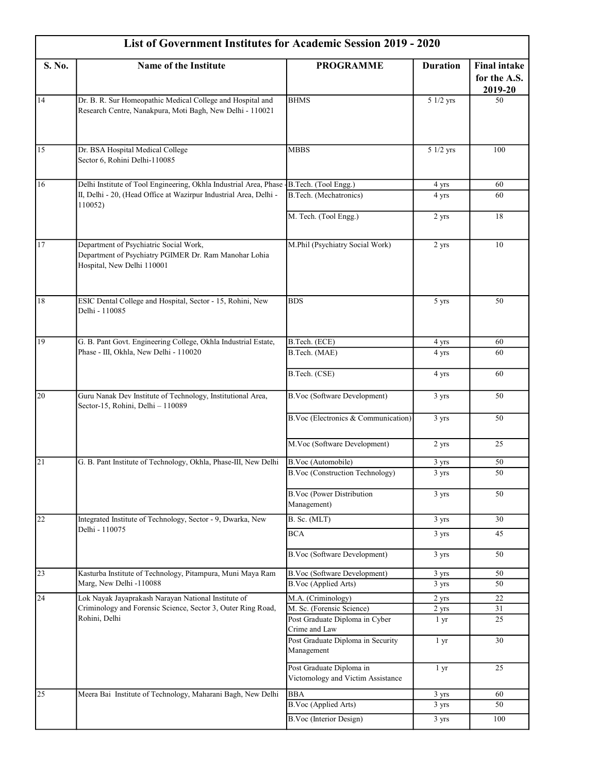| List of Government Institutes for Academic Session 2019 - 2020 |                                                                                                                               |                                                               |                 |                                                |
|----------------------------------------------------------------|-------------------------------------------------------------------------------------------------------------------------------|---------------------------------------------------------------|-----------------|------------------------------------------------|
| S. No.                                                         | Name of the Institute                                                                                                         | <b>PROGRAMME</b>                                              | <b>Duration</b> | <b>Final intake</b><br>for the A.S.<br>2019-20 |
| 14                                                             | Dr. B. R. Sur Homeopathic Medical College and Hospital and<br>Research Centre, Nanakpura, Moti Bagh, New Delhi - 110021       | <b>BHMS</b>                                                   | 5 1/2 yrs       | 50                                             |
| 15                                                             | Dr. BSA Hospital Medical College<br>Sector 6, Rohini Delhi-110085                                                             | <b>MBBS</b>                                                   | 5 1/2 yrs       | 100                                            |
| 16                                                             | Delhi Institute of Tool Engineering, Okhla Industrial Area, Phase                                                             | B.Tech. (Tool Engg.)                                          | 4 yrs           | 60                                             |
|                                                                | II, Delhi - 20, (Head Office at Wazirpur Industrial Area, Delhi -<br>110052)                                                  | <b>B.Tech.</b> (Mechatronics)                                 | 4 yrs           | 60                                             |
|                                                                |                                                                                                                               | M. Tech. (Tool Engg.)                                         | 2 yrs           | 18                                             |
| 17                                                             | Department of Psychiatric Social Work,<br>Department of Psychiatry PGIMER Dr. Ram Manohar Lohia<br>Hospital, New Delhi 110001 | M.Phil (Psychiatry Social Work)                               | 2 yrs           | 10                                             |
| 18                                                             | ESIC Dental College and Hospital, Sector - 15, Rohini, New<br>Delhi - 110085                                                  | <b>BDS</b>                                                    | 5 yrs           | 50                                             |
| 19                                                             | G. B. Pant Govt. Engineering College, Okhla Industrial Estate,                                                                | B.Tech. (ECE)                                                 | 4 yrs           | 60                                             |
|                                                                | Phase - III, Okhla, New Delhi - 110020                                                                                        | B.Tech. (MAE)                                                 | 4 yrs           | 60                                             |
|                                                                |                                                                                                                               | B.Tech. (CSE)                                                 | 4 yrs           | 60                                             |
| 20                                                             | Guru Nanak Dev Institute of Technology, Institutional Area,<br>Sector-15, Rohini, Delhi - 110089                              | B.Voc (Software Development)                                  | 3 yrs           | 50                                             |
|                                                                |                                                                                                                               | B.Voc (Electronics & Communication)                           | 3 yrs           | 50                                             |
|                                                                |                                                                                                                               | M.Voc (Software Development)                                  | 2 yrs           | 25                                             |
| 21                                                             | G. B. Pant Institute of Technology, Okhla, Phase-III, New Delhi                                                               | <b>B.Voc</b> (Automobile)                                     | 3 yrs           | 50                                             |
|                                                                |                                                                                                                               | <b>B.Voc (Construction Technology)</b>                        | 3 yrs           | 50                                             |
|                                                                |                                                                                                                               | <b>B.Voc (Power Distribution</b><br>Management)               | 3 yrs           | 50                                             |
| 22                                                             | Integrated Institute of Technology, Sector - 9, Dwarka, New                                                                   | B. Sc. (MLT)                                                  | 3 yrs           | 30                                             |
|                                                                | Delhi - 110075                                                                                                                | <b>BCA</b>                                                    | 3 yrs           | 45                                             |
|                                                                |                                                                                                                               | B.Voc (Software Development)                                  | 3 yrs           | 50                                             |
| $\overline{23}$                                                | Kasturba Institute of Technology, Pitampura, Muni Maya Ram<br>Marg, New Delhi -110088                                         | <b>B.Voc (Software Development)</b><br>B.Voc (Applied Arts)   | 3 yrs<br>3 yrs  | 50<br>50                                       |
| 24                                                             | Lok Nayak Jayaprakash Narayan National Institute of                                                                           | M.A. (Criminology)                                            | 2 yrs           | 22                                             |
|                                                                | Criminology and Forensic Science, Sector 3, Outer Ring Road,                                                                  | M. Sc. (Forensic Science)                                     | 2 yrs           | 31                                             |
|                                                                | Rohini, Delhi                                                                                                                 | Post Graduate Diploma in Cyber<br>Crime and Law               | 1 <sub>yr</sub> | 25                                             |
|                                                                |                                                                                                                               | Post Graduate Diploma in Security<br>Management               | 1 <sub>yr</sub> | 30                                             |
|                                                                |                                                                                                                               | Post Graduate Diploma in<br>Victomology and Victim Assistance | 1 yr            | 25                                             |
| $\overline{25}$                                                | Meera Bai Institute of Technology, Maharani Bagh, New Delhi                                                                   | <b>BBA</b>                                                    | 3 yrs           | 60                                             |
|                                                                |                                                                                                                               | B.Voc (Applied Arts)                                          | 3 yrs           | 50                                             |
|                                                                |                                                                                                                               | B.Voc (Interior Design)                                       | 3 yrs           | 100                                            |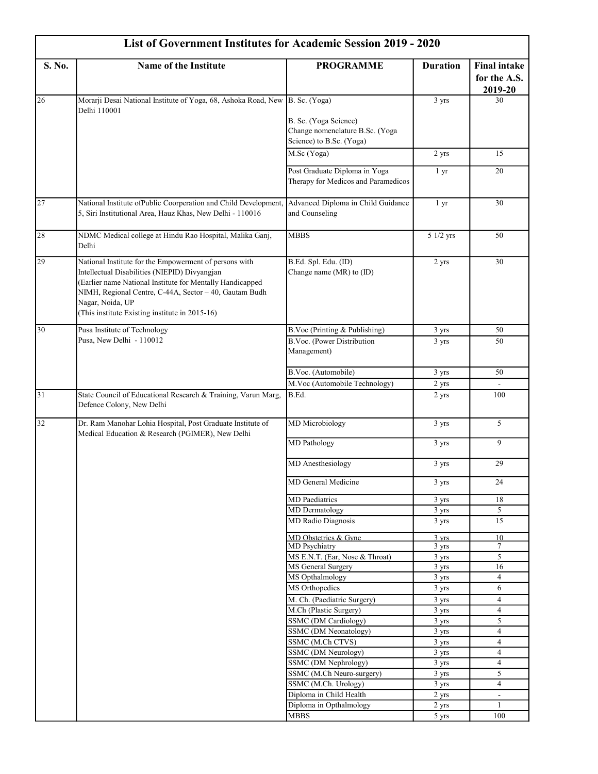| <b>List of Government Institutes for Academic Session 2019 - 2020</b> |                                                                                                                                                                                                                                                                                                      |                                                                                      |                 |                                                |
|-----------------------------------------------------------------------|------------------------------------------------------------------------------------------------------------------------------------------------------------------------------------------------------------------------------------------------------------------------------------------------------|--------------------------------------------------------------------------------------|-----------------|------------------------------------------------|
| S. No.                                                                | <b>Name of the Institute</b>                                                                                                                                                                                                                                                                         | <b>PROGRAMME</b>                                                                     | <b>Duration</b> | <b>Final intake</b><br>for the A.S.<br>2019-20 |
| 26                                                                    | Morarji Desai National Institute of Yoga, 68, Ashoka Road, New B. Sc. (Yoga)<br>Delhi 110001                                                                                                                                                                                                         | B. Sc. (Yoga Science)<br>Change nomenclature B.Sc. (Yoga<br>Science) to B.Sc. (Yoga) | 3 yrs           | 30                                             |
|                                                                       |                                                                                                                                                                                                                                                                                                      | $M.Sc(\overline{Yoga})$                                                              | 2 yrs           | 15                                             |
|                                                                       |                                                                                                                                                                                                                                                                                                      | Post Graduate Diploma in Yoga<br>Therapy for Medicos and Paramedicos                 | 1 <sub>yr</sub> | 20                                             |
| $\overline{27}$                                                       | National Institute ofPublic Coorperation and Child Development,<br>5, Siri Institutional Area, Hauz Khas, New Delhi - 110016                                                                                                                                                                         | Advanced Diploma in Child Guidance<br>and Counseling                                 | 1 <sub>yr</sub> | 30                                             |
| 28                                                                    | NDMC Medical college at Hindu Rao Hospital, Malika Ganj,<br>Delhi                                                                                                                                                                                                                                    | <b>MBBS</b>                                                                          | 5 1/2 yrs       | 50                                             |
| 29                                                                    | National Institute for the Empowerment of persons with<br>Intellectual Disabilities (NIEPID) Divyangjan<br>(Earlier name National Institute for Mentally Handicapped<br>NIMH, Regional Centre, C-44A, Sector - 40, Gautam Budh<br>Nagar, Noida, UP<br>(This institute Existing institute in 2015-16) | B.Ed. Spl. Edu. (ID)<br>Change name (MR) to (ID)                                     | 2 yrs           | 30                                             |
| 30                                                                    | Pusa Institute of Technology                                                                                                                                                                                                                                                                         | B.Voc (Printing & Publishing)                                                        | 3 yrs           | 50                                             |
|                                                                       | Pusa, New Delhi - 110012                                                                                                                                                                                                                                                                             | B.Voc. (Power Distribution<br>Management)                                            | 3 yrs           | 50                                             |
|                                                                       |                                                                                                                                                                                                                                                                                                      | B.Voc. (Automobile)                                                                  | 3 yrs           | 50                                             |
|                                                                       |                                                                                                                                                                                                                                                                                                      | M.Voc (Automobile Technology)                                                        | 2 yrs           | $\mathbf{r}$                                   |
| $\overline{31}$                                                       | State Council of Educational Research & Training, Varun Marg,<br>Defence Colony, New Delhi                                                                                                                                                                                                           | B.Ed.                                                                                | 2 yrs           | 100                                            |
| 32                                                                    | Dr. Ram Manohar Lohia Hospital, Post Graduate Institute of<br>Medical Education & Research (PGIMER), New Delhi                                                                                                                                                                                       | <b>MD</b> Microbiology                                                               | 3 yrs           | 5                                              |
|                                                                       |                                                                                                                                                                                                                                                                                                      | <b>MD</b> Pathology                                                                  | 3 yrs           | 9                                              |
|                                                                       |                                                                                                                                                                                                                                                                                                      | MD Anesthesiology                                                                    | 3 yrs           | 29                                             |
|                                                                       |                                                                                                                                                                                                                                                                                                      | MD General Medicine                                                                  | 3 yrs           | 24                                             |
|                                                                       |                                                                                                                                                                                                                                                                                                      | <b>MD</b> Paediatrics                                                                | 3 yrs           | 18                                             |
|                                                                       |                                                                                                                                                                                                                                                                                                      | MD Dermatology                                                                       | 3 yrs           | $\overline{5}$                                 |
|                                                                       |                                                                                                                                                                                                                                                                                                      | <b>MD</b> Radio Diagnosis                                                            | 3 yrs           | 15                                             |
|                                                                       |                                                                                                                                                                                                                                                                                                      | MD Obstetrics & Gyne                                                                 | $3 \text{ vrs}$ | 10                                             |
|                                                                       |                                                                                                                                                                                                                                                                                                      | <b>MD</b> Psychiatry<br>MS E.N.T. (Ear, Nose & Throat)                               | 3 yrs<br>3 yrs  | $\tau$<br>5                                    |
|                                                                       |                                                                                                                                                                                                                                                                                                      | MS General Surgery                                                                   | $3 \text{ yrs}$ | 16                                             |
|                                                                       |                                                                                                                                                                                                                                                                                                      | MS Opthalmology                                                                      | 3 yrs           | $\overline{4}$                                 |
|                                                                       |                                                                                                                                                                                                                                                                                                      | MS Orthopedics                                                                       | 3 yrs           | 6                                              |
|                                                                       |                                                                                                                                                                                                                                                                                                      | M. Ch. (Paediatric Surgery)                                                          | 3 yrs           | 4                                              |
|                                                                       |                                                                                                                                                                                                                                                                                                      | M.Ch (Plastic Surgery)                                                               | 3 yrs           | $\overline{4}$                                 |
|                                                                       |                                                                                                                                                                                                                                                                                                      | SSMC (DM Cardiology)                                                                 | 3 yrs           | 5                                              |
|                                                                       |                                                                                                                                                                                                                                                                                                      | SSMC (DM Neonatology)<br>SSMC (M.Ch CTVS)                                            | 3 yrs<br>3 yrs  | $\overline{4}$<br>4                            |
|                                                                       |                                                                                                                                                                                                                                                                                                      | SSMC (DM Neurology)                                                                  | 3 yrs           | $\overline{4}$                                 |
|                                                                       |                                                                                                                                                                                                                                                                                                      | SSMC (DM Nephrology)                                                                 | 3 yrs           | $\overline{4}$                                 |
|                                                                       |                                                                                                                                                                                                                                                                                                      | SSMC (M.Ch Neuro-surgery)                                                            | 3 yrs           | 5                                              |
|                                                                       |                                                                                                                                                                                                                                                                                                      | SSMC (M.Ch. Urology)                                                                 | 3 yrs           | $\overline{4}$                                 |
|                                                                       |                                                                                                                                                                                                                                                                                                      | Diploma in Child Health                                                              | 2 yrs           | $\blacksquare$                                 |
|                                                                       |                                                                                                                                                                                                                                                                                                      | Diploma in Opthalmology                                                              | 2 yrs           | $\mathbf{1}$                                   |
|                                                                       |                                                                                                                                                                                                                                                                                                      | <b>MBBS</b>                                                                          | 5 yrs           | 100                                            |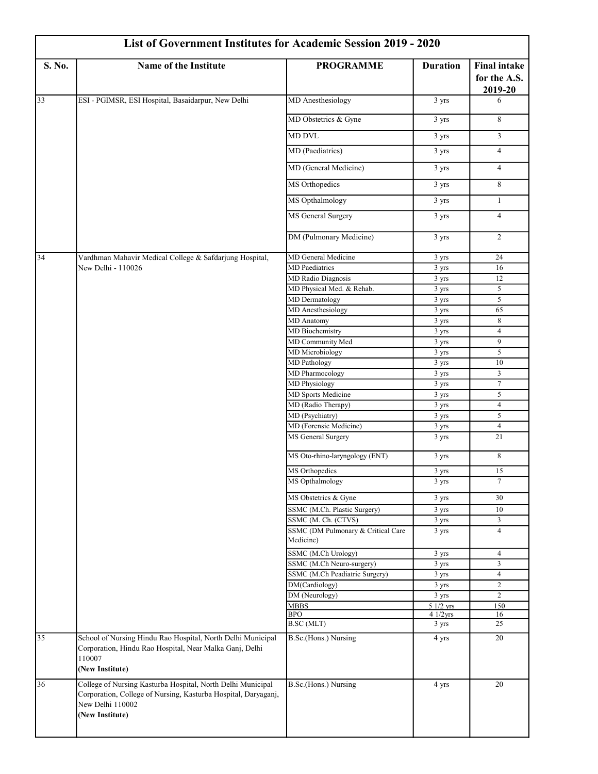| List of Government Institutes for Academic Session 2019 - 2020 |                                                                                                                                                                      |                                                           |                 |                                                |
|----------------------------------------------------------------|----------------------------------------------------------------------------------------------------------------------------------------------------------------------|-----------------------------------------------------------|-----------------|------------------------------------------------|
| S. No.                                                         | Name of the Institute                                                                                                                                                | <b>PROGRAMME</b>                                          | <b>Duration</b> | <b>Final intake</b><br>for the A.S.<br>2019-20 |
| 33                                                             | ESI - PGIMSR, ESI Hospital, Basaidarpur, New Delhi                                                                                                                   | <b>MD</b> Anesthesiology                                  | 3 yrs           | 6                                              |
|                                                                |                                                                                                                                                                      | MD Obstetrics & Gyne                                      | 3 yrs           | 8                                              |
|                                                                |                                                                                                                                                                      | <b>MD DVL</b>                                             | 3 yrs           | $\mathfrak{Z}$                                 |
|                                                                |                                                                                                                                                                      | MD (Paediatrics)                                          | 3 yrs           | $\overline{4}$                                 |
|                                                                |                                                                                                                                                                      | MD (General Medicine)                                     | 3 yrs           | $\overline{4}$                                 |
|                                                                |                                                                                                                                                                      | MS Orthopedics                                            | 3 yrs           | 8                                              |
|                                                                |                                                                                                                                                                      | MS Opthalmology                                           | 3 yrs           | $\mathbf{1}$                                   |
|                                                                |                                                                                                                                                                      | MS General Surgery                                        | 3 yrs           | $\overline{4}$                                 |
|                                                                |                                                                                                                                                                      | DM (Pulmonary Medicine)                                   | 3 yrs           | $\overline{c}$                                 |
| 34                                                             | Vardhman Mahavir Medical College & Safdarjung Hospital,                                                                                                              | MD General Medicine                                       | 3 yrs           | 24                                             |
|                                                                | New Delhi - 110026                                                                                                                                                   | <b>MD</b> Paediatrics                                     | 3 yrs           | 16                                             |
|                                                                |                                                                                                                                                                      | <b>MD Radio Diagnosis</b>                                 | 3 yrs           | 12                                             |
|                                                                |                                                                                                                                                                      | MD Physical Med. & Rehab.                                 | 3 yrs           | 5                                              |
|                                                                |                                                                                                                                                                      | MD Dermatology                                            | 3 yrs           | 5                                              |
|                                                                |                                                                                                                                                                      | <b>MD</b> Anesthesiology                                  | 3 yrs           | 65                                             |
|                                                                |                                                                                                                                                                      | <b>MD</b> Anatomy<br>MD Biochemistry                      | 3 yrs           | 8<br>4                                         |
|                                                                |                                                                                                                                                                      | MD Community Med                                          | 3 yrs<br>3 yrs  | $\overline{9}$                                 |
|                                                                |                                                                                                                                                                      | MD Microbiology                                           | 3 yrs           | 5                                              |
|                                                                |                                                                                                                                                                      | <b>MD</b> Pathology                                       | 3 yrs           | 10                                             |
|                                                                |                                                                                                                                                                      | <b>MD</b> Pharmocology                                    | 3 yrs           | 3                                              |
|                                                                |                                                                                                                                                                      | <b>MD Physiology</b>                                      | 3 yrs           | $\tau$                                         |
|                                                                |                                                                                                                                                                      | MD Sports Medicine                                        | 3 yrs           | 5                                              |
|                                                                |                                                                                                                                                                      | MD (Radio Therapy)                                        | 3 yrs           | $\overline{4}$                                 |
|                                                                |                                                                                                                                                                      | MD (Psychiatry)                                           | 3 yrs           | 5                                              |
|                                                                |                                                                                                                                                                      | MD (Forensic Medicine)                                    | 3 yrs           | $\overline{4}$                                 |
|                                                                |                                                                                                                                                                      | MS General Surgery                                        | 3 yrs           | 21                                             |
|                                                                |                                                                                                                                                                      | MS Oto-rhino-laryngology (ENT)                            | 3 yrs           | 8                                              |
|                                                                |                                                                                                                                                                      | MS Orthopedics                                            | 3 yrs           | 15                                             |
|                                                                |                                                                                                                                                                      | MS Opthalmology                                           | 3 yrs           | $\tau$                                         |
|                                                                |                                                                                                                                                                      | MS Obstetrics & Gyne                                      | 3 yrs           | 30                                             |
|                                                                |                                                                                                                                                                      | SSMC (M.Ch. Plastic Surgery)                              | 3 yrs           | 10                                             |
|                                                                |                                                                                                                                                                      | SSMC (M. Ch. (CTVS)<br>SSMC (DM Pulmonary & Critical Care | 3 yrs<br>3 yrs  | 3<br>$\overline{4}$                            |
|                                                                |                                                                                                                                                                      | Medicine)                                                 |                 |                                                |
|                                                                |                                                                                                                                                                      | SSMC (M.Ch Urology)<br>SSMC (M.Ch Neuro-surgery)          | 3 yrs           | 4<br>3                                         |
|                                                                |                                                                                                                                                                      | SSMC (M.Ch Peadiatric Surgery)                            | 3 yrs<br>3 yrs  | $\overline{4}$                                 |
|                                                                |                                                                                                                                                                      | DM(Cardiology)                                            | 3 yrs           | $\overline{c}$                                 |
|                                                                |                                                                                                                                                                      | DM (Neurology)                                            | 3 yrs           | $\overline{c}$                                 |
|                                                                |                                                                                                                                                                      | <b>MBBS</b>                                               | $51/2$ yrs      | 150                                            |
|                                                                |                                                                                                                                                                      | <b>BPO</b>                                                | 41/2yrs         | 16                                             |
|                                                                |                                                                                                                                                                      | <b>B.SC</b> (MLT)                                         | 3 yrs           | 25                                             |
| 35                                                             | School of Nursing Hindu Rao Hospital, North Delhi Municipal<br>Corporation, Hindu Rao Hospital, Near Malka Ganj, Delhi<br>110007<br>(New Institute)                  | B.Sc.(Hons.) Nursing                                      | 4 yrs           | 20                                             |
| 36                                                             | College of Nursing Kasturba Hospital, North Delhi Municipal<br>Corporation, College of Nursing, Kasturba Hospital, Daryaganj,<br>New Delhi 110002<br>(New Institute) | B.Sc.(Hons.) Nursing                                      | 4 yrs           | 20                                             |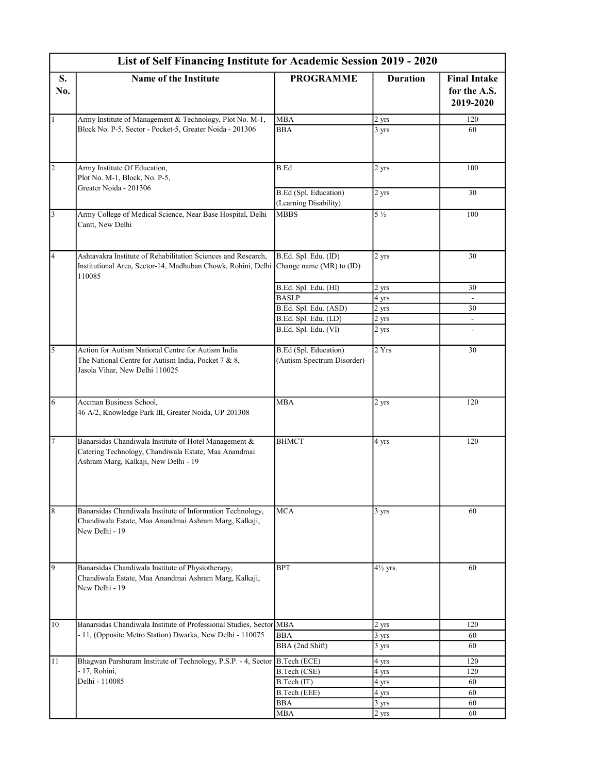|                | List of Self Financing Institute for Academic Session 2019 - 2020                                                                                                |                                                            |                 |                                                  |
|----------------|------------------------------------------------------------------------------------------------------------------------------------------------------------------|------------------------------------------------------------|-----------------|--------------------------------------------------|
| S.<br>No.      | <b>Name of the Institute</b>                                                                                                                                     | <b>PROGRAMME</b>                                           | <b>Duration</b> | <b>Final Intake</b><br>for the A.S.<br>2019-2020 |
| $\mathbf{1}$   | Army Institute of Management & Technology, Plot No. M-1,                                                                                                         | <b>MBA</b>                                                 | 2 yrs           | 120                                              |
|                | Block No. P-5, Sector - Pocket-5, Greater Noida - 201306                                                                                                         | <b>BBA</b>                                                 | 3 yrs           | 60                                               |
| $\overline{c}$ | Army Institute Of Education,<br>Plot No. M-1, Block, No. P-5,<br>Greater Noida - 201306                                                                          | B.Ed                                                       | 2 yrs           | 100                                              |
|                |                                                                                                                                                                  | <b>B.Ed (Spl. Education)</b><br>(Learning Disability)      | $2 \text{ yrs}$ | 30                                               |
| $\overline{3}$ | Army College of Medical Science, Near Base Hospital, Delhi<br>Cantt, New Delhi                                                                                   | <b>MBBS</b>                                                | $5\frac{1}{2}$  | 100                                              |
| $\overline{4}$ | Ashtavakra Institute of Rehabilitation Sciences and Research,<br>Institutional Area, Sector-14, Madhuban Chowk, Rohini, Delhi Change name (MR) to (ID)<br>110085 | B.Ed. Spl. Edu. (ID)                                       | 2 yrs           | 30                                               |
|                |                                                                                                                                                                  | B.Ed. Spl. Edu. (HI)                                       | 2 yrs           | 30                                               |
|                |                                                                                                                                                                  | <b>BASLP</b>                                               | 4 yrs           | $\sim$                                           |
|                |                                                                                                                                                                  | B.Ed. Spl. Edu. (ASD)                                      | 2 yrs           | 30                                               |
|                |                                                                                                                                                                  | B.Ed. Spl. Edu. (LD)                                       | 2 yrs           | $\overline{\phantom{a}}$                         |
|                |                                                                                                                                                                  | B.Ed. Spl. Edu. (VI)                                       | 2 yrs           |                                                  |
| 5              | Action for Autism National Centre for Autism India<br>The National Centre for Autism India, Pocket 7 & 8,<br>Jasola Vihar, New Delhi 110025                      | <b>B.Ed</b> (Spl. Education)<br>(Autism Spectrum Disorder) | 2 Yrs           | 30                                               |
| 6              | Accman Business School,<br>46 A/2, Knowledge Park III, Greater Noida, UP 201308                                                                                  | <b>MBA</b>                                                 | 2 yrs           | 120                                              |
| $\overline{7}$ | Banarsidas Chandiwala Institute of Hotel Management &<br>Catering Technology, Chandiwala Estate, Maa Anandmai<br>Ashram Marg, Kalkaji, New Delhi - 19            | <b>BHMCT</b>                                               | 4 yrs           | 120                                              |
| $\bf 8$        | Banarsidas Chandiwala Institute of Information Technology,                                                                                                       | <b>MCA</b>                                                 | 3 yrs           | 60                                               |
|                | Chandiwala Estate, Maa Anandmai Ashram Marg, Kalkaji,<br>New Delhi - 19                                                                                          |                                                            |                 |                                                  |
| 9              | Banarsidas Chandiwala Institute of Physiotherapy,<br>Chandiwala Estate, Maa Anandmai Ashram Marg, Kalkaji,<br>New Delhi - 19                                     | <b>BPT</b>                                                 | 41/2 yrs.       | 60                                               |
| 10             | Banarsidas Chandiwala Institute of Professional Studies, Sector MBA                                                                                              |                                                            | 2 yrs           | 120                                              |
|                | - 11, (Opposite Metro Station) Dwarka, New Delhi - 110075                                                                                                        | BBA                                                        | 3 yrs           | 60                                               |
|                |                                                                                                                                                                  | BBA (2nd Shift)                                            | 3 yrs           | 60                                               |
| 11             | Bhagwan Parshuram Institute of Technology, P.S.P. - 4, Sector B.Tech (ECE)                                                                                       |                                                            | 4 yrs           | 120                                              |
|                | - 17, Rohini,                                                                                                                                                    | B.Tech (CSE)                                               | 4 yrs           | 120                                              |
|                | Delhi - 110085                                                                                                                                                   | B.Tech (IT)                                                | 4 yrs           | 60                                               |
|                |                                                                                                                                                                  | B.Tech (EEE)                                               | 4 yrs           | 60                                               |
|                |                                                                                                                                                                  | <b>BBA</b>                                                 | 3 yrs           | 60                                               |
|                |                                                                                                                                                                  | MBA                                                        | 2 yrs           | 60                                               |
|                |                                                                                                                                                                  |                                                            |                 |                                                  |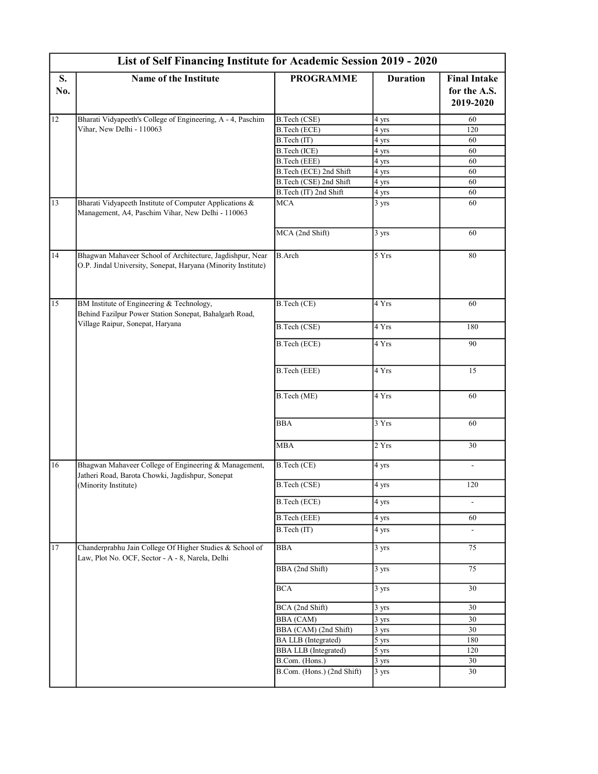|           | List of Self Financing Institute for Academic Session 2019 - 2020                                                                       |                             |                    |                                                  |  |
|-----------|-----------------------------------------------------------------------------------------------------------------------------------------|-----------------------------|--------------------|--------------------------------------------------|--|
| S.<br>No. | <b>Name of the Institute</b>                                                                                                            | <b>PROGRAMME</b>            | <b>Duration</b>    | <b>Final Intake</b><br>for the A.S.<br>2019-2020 |  |
| 12        | Bharati Vidyapeeth's College of Engineering, A - 4, Paschim                                                                             | B.Tech (CSE)                | 4 yrs              | 60                                               |  |
|           | Vihar, New Delhi - 110063                                                                                                               | B.Tech (ECE)                | 4 yrs              | 120                                              |  |
|           |                                                                                                                                         | B.Tech (IT)                 | 4 yrs              | 60                                               |  |
|           |                                                                                                                                         | B.Tech (ICE)                | 4 yrs              | 60                                               |  |
|           |                                                                                                                                         | B.Tech (EEE)                | 4 yrs              | 60                                               |  |
|           |                                                                                                                                         | B.Tech (ECE) 2nd Shift      | 4 yrs              | 60                                               |  |
|           |                                                                                                                                         | B.Tech (CSE) 2nd Shift      | 4 yrs              | 60                                               |  |
|           |                                                                                                                                         | B.Tech (IT) 2nd Shift       | 4 yrs              | 60                                               |  |
| 13        | Bharati Vidyapeeth Institute of Computer Applications &<br>Management, A4, Paschim Vihar, New Delhi - 110063                            | <b>MCA</b>                  | $3 \text{ yrs}$    | 60                                               |  |
|           |                                                                                                                                         | MCA (2nd Shift)             | 3 yrs              | 60                                               |  |
| 14        | Bhagwan Mahaveer School of Architecture, Jagdishpur, Near<br>O.P. Jindal University, Sonepat, Haryana (Minority Institute)              | <b>B.Arch</b>               | 5 Yrs              | 80                                               |  |
| 15        | BM Institute of Engineering & Technology,<br>Behind Fazilpur Power Station Sonepat, Bahalgarh Road,<br>Village Raipur, Sonepat, Haryana | B.Tech (CE)                 | 4 Yrs              | 60                                               |  |
|           |                                                                                                                                         | B.Tech (CSE)                | 4 Yrs              | 180                                              |  |
|           |                                                                                                                                         | B.Tech (ECE)                | 4 Yrs              | 90                                               |  |
|           |                                                                                                                                         | B.Tech (EEE)                | 4 Yrs              | 15                                               |  |
|           |                                                                                                                                         | B.Tech (ME)                 | 4 Yrs              | 60                                               |  |
|           |                                                                                                                                         | <b>BBA</b>                  | 3 Yrs              | 60                                               |  |
|           |                                                                                                                                         | <b>MBA</b>                  | 2Yrs               | 30                                               |  |
| 16        | Bhagwan Mahaveer College of Engineering & Management,<br>Jatheri Road, Barota Chowki, Jagdishpur, Sonepat                               | B.Tech (CE)                 | 4 yrs              | $\overline{\phantom{a}}$                         |  |
|           | (Minority Institute)                                                                                                                    | B.Tech (CSE)                | 4 yrs              | 120                                              |  |
|           |                                                                                                                                         | B.Tech (ECE)                | 4 yrs              |                                                  |  |
|           |                                                                                                                                         | <b>B.Tech (EEE)</b>         | 4 yrs              | 60                                               |  |
|           |                                                                                                                                         | B.Tech (IT)                 | 4 yrs              |                                                  |  |
| 17        | Chanderprabhu Jain College Of Higher Studies & School of<br>Law, Plot No. OCF, Sector - A - 8, Narela, Delhi                            | <b>BBA</b>                  | 3 yrs              | 75                                               |  |
|           |                                                                                                                                         | BBA (2nd Shift)             | 3 yrs              | 75                                               |  |
|           |                                                                                                                                         | <b>BCA</b>                  | 3 yrs              | 30                                               |  |
|           |                                                                                                                                         | BCA (2nd Shift)             | $\overline{3}$ yrs | 30                                               |  |
|           |                                                                                                                                         | <b>BBA</b> (CAM)            | $3 \text{ yrs}$    | 30                                               |  |
|           |                                                                                                                                         | BBA (CAM) (2nd Shift)       | 3 yrs              | 30                                               |  |
|           |                                                                                                                                         | <b>BA LLB</b> (Integrated)  | 5 yrs              | 180                                              |  |
|           |                                                                                                                                         | <b>BBA LLB</b> (Integrated) | 5 yrs              | 120                                              |  |
|           |                                                                                                                                         | B.Com. (Hons.)              | $3 \text{ yrs}$    | 30                                               |  |
|           |                                                                                                                                         | B.Com. (Hons.) (2nd Shift)  | 3 yrs              | 30                                               |  |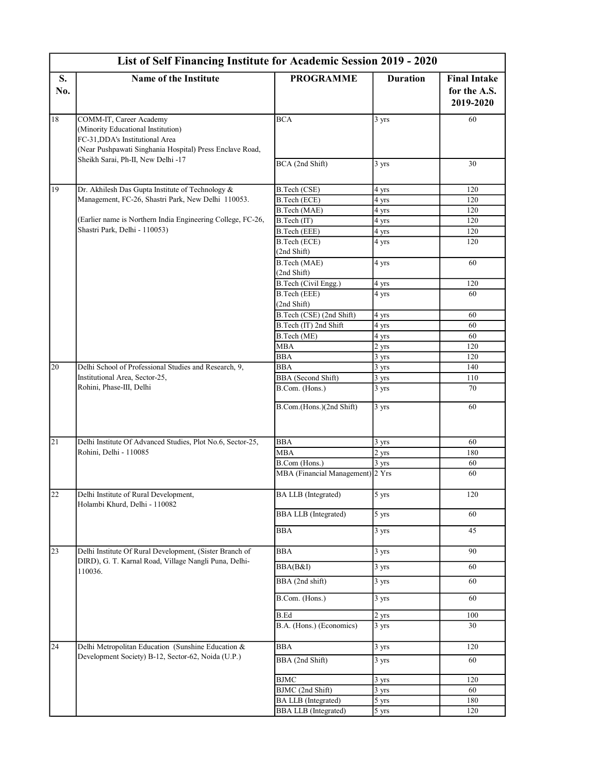|                 | List of Self Financing Institute for Academic Session 2019 - 2020                                                                                            |                                      |                    |                                                  |  |
|-----------------|--------------------------------------------------------------------------------------------------------------------------------------------------------------|--------------------------------------|--------------------|--------------------------------------------------|--|
| S.<br>No.       | <b>Name of the Institute</b>                                                                                                                                 | <b>PROGRAMME</b>                     | <b>Duration</b>    | <b>Final Intake</b><br>for the A.S.<br>2019-2020 |  |
| $18\,$          | COMM-IT, Career Academy<br>(Minority Educational Institution)<br>FC-31, DDA's Institutional Area<br>(Near Pushpawati Singhania Hospital) Press Enclave Road, | BCA                                  | 3 yrs              | 60                                               |  |
|                 | Sheikh Sarai, Ph-II, New Delhi -17                                                                                                                           | BCA (2nd Shift)                      | 3 yrs              | 30                                               |  |
| 19              | Dr. Akhilesh Das Gupta Institute of Technology &                                                                                                             | B.Tech (CSE)                         | 4 yrs              | 120                                              |  |
|                 | Management, FC-26, Shastri Park, New Delhi 110053.                                                                                                           | B.Tech (ECE)                         | 4 yrs              | 120                                              |  |
|                 |                                                                                                                                                              | B.Tech (MAE)                         | 4 yrs              | 120                                              |  |
|                 | (Earlier name is Northern India Engineering College, FC-26,                                                                                                  | B.Tech (IT)                          | 4 yrs              | 120                                              |  |
|                 | Shastri Park, Delhi - 110053)                                                                                                                                | B.Tech (EEE)                         | 4 yrs              | 120                                              |  |
|                 |                                                                                                                                                              | B.Tech (ECE)<br>(2nd Shift)          | 4 yrs              | 120                                              |  |
|                 |                                                                                                                                                              | B.Tech (MAE)<br>(2nd Shift)          | 4 yrs              | 60                                               |  |
|                 |                                                                                                                                                              | B.Tech (Civil Engg.)                 | 4 yrs              | 120                                              |  |
|                 |                                                                                                                                                              | B.Tech (EEE)<br>(2nd Shift)          | 4 yrs              | 60                                               |  |
|                 |                                                                                                                                                              | B.Tech (CSE) (2nd Shift)             | 4 yrs              | 60                                               |  |
|                 |                                                                                                                                                              | B.Tech (IT) 2nd Shift                | 4 yrs              | 60                                               |  |
|                 |                                                                                                                                                              | B.Tech (ME)                          | 4 yrs              | 60                                               |  |
|                 |                                                                                                                                                              | MBA                                  | 2 yrs              | 120                                              |  |
|                 |                                                                                                                                                              | $\overline{B}BA$                     | 3 yrs              | 120                                              |  |
| $20\,$          | Delhi School of Professional Studies and Research, 9,<br>Institutional Area, Sector-25,<br>Rohini, Phase-III, Delhi                                          | <b>BBA</b>                           | 3 yrs              | 140                                              |  |
|                 |                                                                                                                                                              | BBA (Second Shift)<br>B.Com. (Hons.) | 3 yrs<br>3 yrs     | 110<br>70                                        |  |
|                 |                                                                                                                                                              | B.Com.(Hons.)(2nd Shift)             | 3 yrs              | 60                                               |  |
| 21              | Delhi Institute Of Advanced Studies, Plot No.6, Sector-25,                                                                                                   | <b>BBA</b>                           | 3 yrs              | 60                                               |  |
|                 | Rohini, Delhi - 110085                                                                                                                                       | <b>MBA</b>                           | 2 yrs              | 180                                              |  |
|                 |                                                                                                                                                              | B.Com (Hons.)                        | 3 yrs              | 60                                               |  |
|                 |                                                                                                                                                              | MBA (Financial Management) 2 Yrs     |                    | 60                                               |  |
| $\overline{22}$ | Delhi Institute of Rural Development,<br>Holambi Khurd, Delhi - 110082                                                                                       | <b>BA LLB</b> (Integrated)           | 5 yrs              | 120                                              |  |
|                 |                                                                                                                                                              | <b>BBA LLB</b> (Integrated)          | 5 yrs              | 60                                               |  |
|                 |                                                                                                                                                              | <b>BBA</b>                           | $3 \text{ yrs}$    | 45                                               |  |
| 23              | Delhi Institute Of Rural Development, (Sister Branch of<br>DIRD), G. T. Karnal Road, Village Nangli Puna, Delhi-                                             | <b>BBA</b><br>BBA(B&I)               | 3 yrs<br>3 yrs     | 90<br>60                                         |  |
|                 | 110036.                                                                                                                                                      | BBA (2nd shift)                      | 3 yrs              | 60                                               |  |
|                 |                                                                                                                                                              | B.Com. (Hons.)                       | 3 yrs              | 60                                               |  |
|                 |                                                                                                                                                              | <b>B.Ed</b>                          | 2 yrs              | 100                                              |  |
|                 |                                                                                                                                                              | B.A. (Hons.) (Economics)             | $\overline{3}$ yrs | 30                                               |  |
| 24              | Delhi Metropolitan Education (Sunshine Education &                                                                                                           | <b>BBA</b>                           | 3 yrs              | 120                                              |  |
|                 | Development Society) B-12, Sector-62, Noida (U.P.)                                                                                                           | BBA (2nd Shift)                      | $\overline{3}$ yrs | 60                                               |  |
|                 |                                                                                                                                                              | $\operatorname{BJMC}$                | 3 yrs              | 120                                              |  |
|                 |                                                                                                                                                              | BJMC (2nd Shift)                     | 3 yrs              | 60                                               |  |
|                 |                                                                                                                                                              | <b>BA LLB</b> (Integrated)           | 5 yrs              | 180                                              |  |
|                 |                                                                                                                                                              | <b>BBA LLB</b> (Integrated)          | 5 yrs              | 120                                              |  |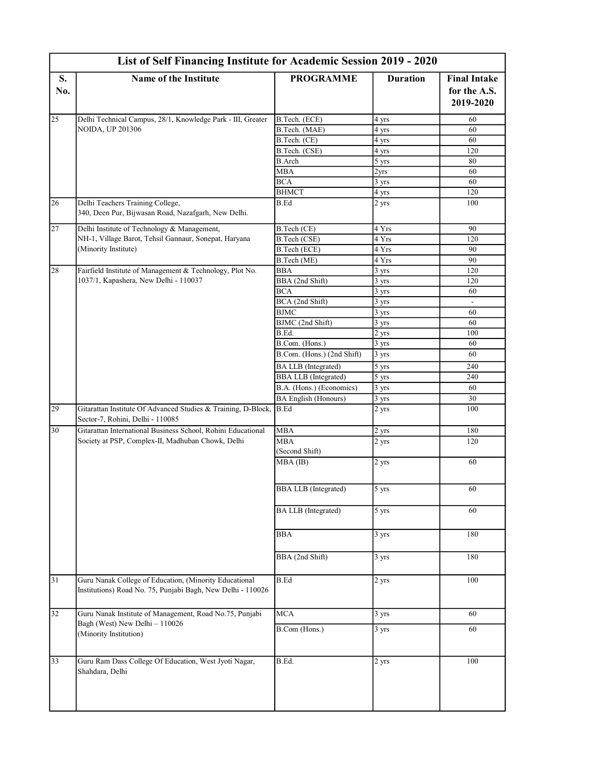|                 | List of Self Financing Institute for Academic Session 2019 - 2020                                                     |                             |                                            |                                     |  |
|-----------------|-----------------------------------------------------------------------------------------------------------------------|-----------------------------|--------------------------------------------|-------------------------------------|--|
| S.<br>No.       | Name of the Institute                                                                                                 | <b>PROGRAMME</b>            | <b>Duration</b>                            | <b>Final Intake</b><br>for the A.S. |  |
|                 |                                                                                                                       |                             |                                            | 2019-2020                           |  |
| 25              | Delhi Technical Campus, 28/1, Knowledge Park - III, Greater                                                           | B.Tech. (ECE)               | 4 yrs                                      | 60                                  |  |
|                 | <b>NOIDA, UP 201306</b>                                                                                               | B.Tech. (MAE)               | 4 yrs                                      | 60                                  |  |
|                 |                                                                                                                       | B.Tech. (CE)                | 4 yrs                                      | 60                                  |  |
|                 |                                                                                                                       | B.Tech. (CSE)               | 4 yrs                                      | 120                                 |  |
|                 |                                                                                                                       | <b>B.Arch</b>               | 5 yrs                                      | 80                                  |  |
|                 |                                                                                                                       | <b>MBA</b>                  | 2 <sub>yrs</sub>                           | 60                                  |  |
|                 |                                                                                                                       | <b>BCA</b>                  | 3 yrs                                      | 60                                  |  |
|                 |                                                                                                                       | <b>BHMCT</b>                | 4 yrs                                      | 120                                 |  |
| 26              | Delhi Teachers Training College,<br>340, Deen Pur, Bijwasan Road, Nazafgarh, New Delhi.                               | B.Ed                        | 2 yrs                                      | 100                                 |  |
| $\overline{27}$ | Delhi Institute of Technology & Management,                                                                           | B.Tech (CE)                 | 4 Yrs                                      | 90                                  |  |
|                 | NH-1, Village Barot, Tehsil Gannaur, Sonepat, Haryana                                                                 | B.Tech (CSE)                | 4 Yrs                                      | 120                                 |  |
|                 | (Minority Institute)                                                                                                  | B.Tech (ECE)                | 4 Yrs                                      | 90                                  |  |
|                 |                                                                                                                       | B.Tech (ME)                 | 4 Yrs                                      | 90                                  |  |
| 28              | Fairfield Institute of Management & Technology, Plot No.                                                              | <b>BBA</b>                  | 3 yrs                                      | 120                                 |  |
|                 | 1037/1, Kapashera, New Delhi - 110037                                                                                 | BBA (2nd Shift)             | 3 yrs                                      | 120                                 |  |
|                 |                                                                                                                       | <b>BCA</b>                  | $\overline{3}$ yrs                         | 60                                  |  |
|                 |                                                                                                                       | BCA (2nd Shift)             | 3 yrs                                      |                                     |  |
|                 |                                                                                                                       | <b>BJMC</b>                 | 3 yrs                                      | 60                                  |  |
|                 |                                                                                                                       | BJMC (2nd Shift)            | 3 yrs                                      | 60                                  |  |
|                 |                                                                                                                       | B.Ed.                       | 2 yrs                                      | 100                                 |  |
|                 |                                                                                                                       | B.Com. (Hons.)              | 3 yrs                                      | 60                                  |  |
|                 |                                                                                                                       | B.Com. (Hons.) (2nd Shift)  | 3 yrs                                      | 60                                  |  |
|                 |                                                                                                                       | <b>BA LLB</b> (Integrated)  | $5 \text{ yrs}$                            | 240                                 |  |
|                 |                                                                                                                       | <b>BBA LLB</b> (Integrated) | 5 yrs                                      | 240                                 |  |
|                 |                                                                                                                       | B.A. (Hons.) (Economics)    | 3 yrs                                      | 60                                  |  |
|                 |                                                                                                                       | <b>BA English (Honours)</b> | 3 yrs                                      | 30                                  |  |
| 29              | Gitarattan Institute Of Advanced Studies & Training, D-Block, B.Ed<br>Sector-7, Rohini, Delhi - 110085                |                             | 2 yrs                                      | 100                                 |  |
| 30              | Gitarattan International Business School, Rohini Educational                                                          | <b>MBA</b>                  |                                            | 180                                 |  |
|                 | Society at PSP, Complex-II, Madhuban Chowk, Delhi                                                                     | <b>MBA</b>                  |                                            | 120                                 |  |
|                 |                                                                                                                       | (Second Shift)              |                                            |                                     |  |
|                 |                                                                                                                       | $MBA$ (IB)                  | 2 yrs                                      | 60                                  |  |
|                 |                                                                                                                       | <b>BBA LLB</b> (Integrated) | 5 yrs                                      | 60                                  |  |
|                 |                                                                                                                       | <b>BA LLB</b> (Integrated)  | 2 yrs<br>2 yrs<br>$5 \text{ yrs}$<br>3 yrs | 60                                  |  |
|                 |                                                                                                                       | <b>BBA</b>                  |                                            | 180                                 |  |
|                 |                                                                                                                       | BBA (2nd Shift)             | 3 yrs                                      | 180                                 |  |
| $\overline{31}$ | Guru Nanak College of Education, (Minority Educational<br>Institutions) Road No. 75, Punjabi Bagh, New Delhi - 110026 | <b>B.Ed</b>                 | 2 yrs                                      | 100                                 |  |
| 32              | Guru Nanak Institute of Management, Road No.75, Punjabi                                                               | <b>MCA</b>                  | 3 yrs                                      | 60                                  |  |
|                 | Bagh (West) New Delhi - 110026<br>(Minority Institution)                                                              | B.Com (Hons.)               | 3 yrs                                      | 60                                  |  |
| 33              | Guru Ram Dass College Of Education, West Jyoti Nagar,<br>Shahdara, Delhi                                              | B.Ed.                       | 2 yrs                                      | 100                                 |  |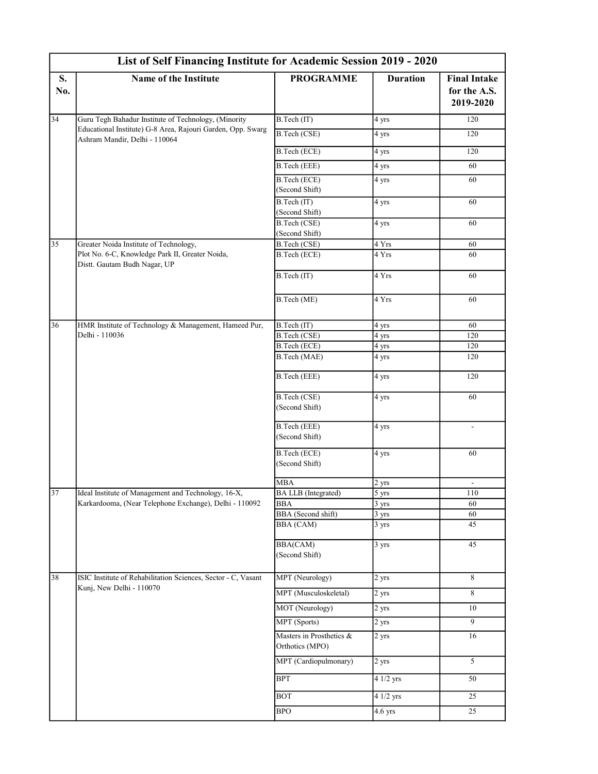|                 | List of Self Financing Institute for Academic Session 2019 - 2020                            |                                               |                                    |                                                  |  |
|-----------------|----------------------------------------------------------------------------------------------|-----------------------------------------------|------------------------------------|--------------------------------------------------|--|
| S.<br>No.       | <b>Name of the Institute</b>                                                                 | <b>PROGRAMME</b>                              | <b>Duration</b>                    | <b>Final Intake</b><br>for the A.S.<br>2019-2020 |  |
| $\overline{34}$ | Guru Tegh Bahadur Institute of Technology, (Minority                                         | B.Tech (IT)                                   | 4 yrs                              | 120                                              |  |
|                 | Educational Institute) G-8 Area, Rajouri Garden, Opp. Swarg<br>Ashram Mandir, Delhi - 110064 | B.Tech (CSE)                                  | 4 yrs                              | 120                                              |  |
|                 |                                                                                              | B.Tech (ECE)                                  | 4 yrs                              | 120                                              |  |
|                 |                                                                                              | B.Tech (EEE)                                  | 4 yrs                              | 60                                               |  |
|                 |                                                                                              | B.Tech (ECE)<br>(Second Shift)                | 4 yrs                              | 60                                               |  |
|                 |                                                                                              | B.Tech (IT)<br>(Second Shift)                 | 4 yrs                              | 60                                               |  |
|                 |                                                                                              | B.Tech (CSE)<br>(Second Shift)                | 4 yrs                              | 60                                               |  |
| $\overline{35}$ | Greater Noida Institute of Technology,                                                       | B.Tech (CSE)                                  | 4 Yrs                              | 60                                               |  |
|                 | Plot No. 6-C, Knowledge Park II, Greater Noida,<br>Distt. Gautam Budh Nagar, UP              | B.Tech (ECE)                                  | 4 Yrs                              | 60                                               |  |
|                 |                                                                                              | B.Tech (IT)                                   | 4 Yrs                              | 60                                               |  |
|                 |                                                                                              | B.Tech (ME)                                   | 4 Yrs                              | 60                                               |  |
| 36              | HMR Institute of Technology & Management, Hameed Pur,<br>Delhi - 110036                      | B.Tech (IT)                                   | 4 yrs                              | 60                                               |  |
|                 |                                                                                              | B.Tech (CSE)                                  | 4 yrs                              | 120                                              |  |
|                 |                                                                                              | B.Tech (ECE)                                  | 4 yrs                              | 120                                              |  |
|                 |                                                                                              | B.Tech (MAE)                                  | 4 yrs                              | 120                                              |  |
|                 |                                                                                              | B.Tech (EEE)                                  | 4 yrs                              | 120                                              |  |
|                 |                                                                                              | B.Tech (CSE)<br>(Second Shift)                | 4 yrs                              | 60                                               |  |
|                 |                                                                                              | B.Tech (EEE)<br>(Second Shift)                | 4 yrs                              | $\overline{\phantom{a}}$                         |  |
|                 |                                                                                              | B.Tech (ECE)<br>(Second Shift)                | 4 yrs                              | 60                                               |  |
|                 |                                                                                              | <b>MBA</b>                                    | 2 yrs                              | $\overline{\phantom{a}}$                         |  |
| 37              | Ideal Institute of Management and Technology, 16-X,                                          | <b>BA LLB</b> (Integrated)                    | 5 yrs                              | 110                                              |  |
|                 | Karkardooma, (Near Telephone Exchange), Delhi - 110092                                       | <b>BBA</b>                                    | $3 \text{ yrs}$                    | 60                                               |  |
|                 |                                                                                              | <b>BBA</b> (Second shift)<br><b>BBA</b> (CAM) | $\frac{3 \text{ yrs}}{2}$<br>3 yrs | 60<br>45                                         |  |
|                 |                                                                                              | <b>BBA(CAM)</b><br>(Second Shift)             | 3 yrs                              | 45                                               |  |
| 38              | ISIC Institute of Rehabilitation Sciences, Sector - C, Vasant<br>Kunj, New Delhi - 110070    | MPT (Neurology)                               | 2 yrs                              | 8                                                |  |
|                 |                                                                                              | MPT (Musculoskeletal)                         | 2 yrs                              | 8                                                |  |
|                 |                                                                                              | MOT (Neurology)                               | 2 yrs                              | 10                                               |  |
|                 |                                                                                              | MPT (Sports)                                  | 2 yrs                              | 9                                                |  |
|                 |                                                                                              | Masters in Prosthetics &<br>Orthotics (MPO)   | 2 yrs                              | 16                                               |  |
|                 |                                                                                              | MPT (Cardiopulmonary)                         | 2 yrs                              | 5                                                |  |
|                 |                                                                                              | BPT                                           | 4 1/2 yrs                          | 50                                               |  |
|                 |                                                                                              | $\overline{BOT}$                              | 4 1/2 yrs                          | 25                                               |  |
|                 |                                                                                              | BPO                                           | $4.6$ yrs                          | 25                                               |  |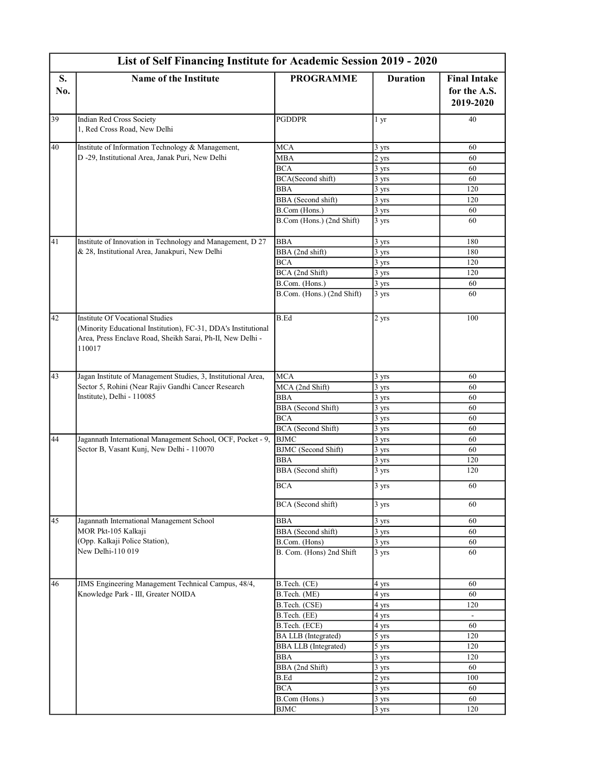|           | List of Self Financing Institute for Academic Session 2019 - 2020                                                                                                                |                             |                   |                                                  |  |
|-----------|----------------------------------------------------------------------------------------------------------------------------------------------------------------------------------|-----------------------------|-------------------|--------------------------------------------------|--|
| S.<br>No. | <b>Name of the Institute</b>                                                                                                                                                     | <b>PROGRAMME</b>            | <b>Duration</b>   | <b>Final Intake</b><br>for the A.S.<br>2019-2020 |  |
|           |                                                                                                                                                                                  |                             |                   |                                                  |  |
| 39        | Indian Red Cross Society<br>1, Red Cross Road, New Delhi                                                                                                                         | <b>PGDDPR</b>               | 1 yr              | 40                                               |  |
| 40        | Institute of Information Technology & Management,                                                                                                                                | <b>MCA</b>                  | 3 yrs             | 60                                               |  |
|           | D -29, Institutional Area, Janak Puri, New Delhi                                                                                                                                 | <b>MBA</b>                  | 2 yrs             | 60                                               |  |
|           |                                                                                                                                                                                  | <b>BCA</b>                  | 3 yrs             | 60                                               |  |
|           |                                                                                                                                                                                  | BCA(Second shift)           | $3 \text{ yrs}$   | 60                                               |  |
|           |                                                                                                                                                                                  | BBA                         | 3 yrs             | 120                                              |  |
|           |                                                                                                                                                                                  | BBA (Second shift)          | 3 yrs             | 120                                              |  |
|           |                                                                                                                                                                                  | B.Com (Hons.)               | 3 yrs             | 60                                               |  |
|           |                                                                                                                                                                                  | B.Com (Hons.) (2nd Shift)   | 3 yrs             | 60                                               |  |
| 41        | Institute of Innovation in Technology and Management, D 27                                                                                                                       | <b>BBA</b>                  | 3 yrs             | 180                                              |  |
|           | & 28, Institutional Area, Janakpuri, New Delhi                                                                                                                                   | BBA (2nd shift)             | 3 yrs             | 180                                              |  |
|           | <b>Institute Of Vocational Studies</b><br>(Minority Educational Institution), FC-31, DDA's Institutional<br>Area, Press Enclave Road, Sheikh Sarai, Ph-II, New Delhi -<br>110017 | <b>BCA</b>                  | 3 yrs             | 120                                              |  |
|           |                                                                                                                                                                                  | BCA (2nd Shift)             | 3 yrs             | 120                                              |  |
|           |                                                                                                                                                                                  | B.Com. (Hons.)              | 3 yrs             | 60                                               |  |
|           |                                                                                                                                                                                  | B.Com. (Hons.) (2nd Shift)  | 3 yrs             | 60                                               |  |
| 42        |                                                                                                                                                                                  | <b>B.Ed</b>                 | 2 yrs             | 100                                              |  |
| 43        | Jagan Institute of Management Studies, 3, Institutional Area,                                                                                                                    | <b>MCA</b>                  | 3 yrs             | 60                                               |  |
|           | Sector 5, Rohini (Near Rajiv Gandhi Cancer Research                                                                                                                              | MCA (2nd Shift)             | 3 yrs             | 60                                               |  |
|           | Institute), Delhi - 110085                                                                                                                                                       | <b>BBA</b>                  | 3 yrs             | 60                                               |  |
|           |                                                                                                                                                                                  | BBA (Second Shift)          | $3 \text{ yrs}$   | 60                                               |  |
|           |                                                                                                                                                                                  | <b>BCA</b>                  | 3 yrs             | 60                                               |  |
|           |                                                                                                                                                                                  | BCA (Second Shift)          | $3 \text{ yrs}$   | 60                                               |  |
| 44        | Jagannath International Management School, OCF, Pocket - 9,                                                                                                                      | <b>BJMC</b>                 | $3 \text{ yrs}$   | 60                                               |  |
|           | Sector B, Vasant Kunj, New Delhi - 110070                                                                                                                                        | <b>BJMC</b> (Second Shift)  | 3 yrs             | 60                                               |  |
|           |                                                                                                                                                                                  | <b>BBA</b>                  | 3 yrs             | 120                                              |  |
|           |                                                                                                                                                                                  | BBA (Second shift)          | 3 yrs             | 120                                              |  |
|           |                                                                                                                                                                                  | <b>BCA</b>                  | 3 yrs             | 60                                               |  |
|           |                                                                                                                                                                                  | BCA (Second shift)          | 3 yrs             | 60                                               |  |
| 45        | Jagannath International Management School                                                                                                                                        | <b>BBA</b>                  | 3 yrs             | 60                                               |  |
|           | MOR Pkt-105 Kalkaji                                                                                                                                                              | BBA (Second shift)          | $\frac{1}{3}$ yrs | 60                                               |  |
|           | (Opp. Kalkaji Police Station),                                                                                                                                                   | B.Com. (Hons)               | $3 \text{ yrs}$   | 60                                               |  |
|           | New Delhi-110 019                                                                                                                                                                | B. Com. (Hons) 2nd Shift    | 3 yrs             | 60                                               |  |
| 46        | JIMS Engineering Management Technical Campus, 48/4,                                                                                                                              | B.Tech. (CE)                | 4 yrs             | 60                                               |  |
|           | Knowledge Park - III, Greater NOIDA                                                                                                                                              | B.Tech. (ME)                | 4 yrs             | 60                                               |  |
|           |                                                                                                                                                                                  | B.Tech. (CSE)               | 4 yrs             | 120                                              |  |
|           |                                                                                                                                                                                  | B.Tech. (EE)                | 4 yrs             |                                                  |  |
|           |                                                                                                                                                                                  | B.Tech. (ECE)               | 4 yrs             | 60                                               |  |
|           |                                                                                                                                                                                  | BA LLB (Integrated)         | 5 yrs             | 120                                              |  |
|           |                                                                                                                                                                                  | <b>BBA LLB</b> (Integrated) | 5 yrs             | 120                                              |  |
|           |                                                                                                                                                                                  | <b>BBA</b>                  | 3 yrs             | 120                                              |  |
|           |                                                                                                                                                                                  | BBA (2nd Shift)             | 3 yrs             | 60                                               |  |
|           |                                                                                                                                                                                  | B.Ed                        | 2 yrs             | 100                                              |  |
|           |                                                                                                                                                                                  | <b>BCA</b>                  | 3 yrs             | 60                                               |  |
|           |                                                                                                                                                                                  | B.Com (Hons.)               | 3 yrs             | 60                                               |  |
|           |                                                                                                                                                                                  | <b>BJMC</b>                 | $3 \text{ yrs}$   | 120                                              |  |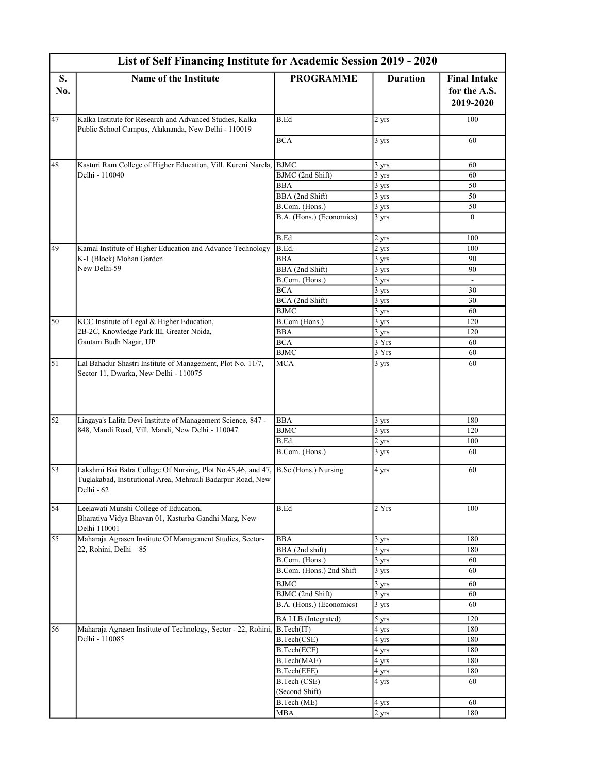|           | List of Self Financing Institute for Academic Session 2019 - 2020                                                                                              |                                |                    |                                     |  |
|-----------|----------------------------------------------------------------------------------------------------------------------------------------------------------------|--------------------------------|--------------------|-------------------------------------|--|
| S.<br>No. | <b>Name of the Institute</b>                                                                                                                                   | <b>PROGRAMME</b>               | <b>Duration</b>    | <b>Final Intake</b><br>for the A.S. |  |
|           |                                                                                                                                                                |                                |                    | 2019-2020                           |  |
| 47        | Kalka Institute for Research and Advanced Studies, Kalka<br>Public School Campus, Alaknanda, New Delhi - 110019                                                | <b>B.Ed</b>                    | 2 yrs              | 100                                 |  |
|           |                                                                                                                                                                | <b>BCA</b>                     | 3 yrs              | 60                                  |  |
| 48        | Kasturi Ram College of Higher Education, Vill. Kureni Narela, BJMC                                                                                             |                                | 3 yrs              | 60                                  |  |
|           | Delhi - 110040                                                                                                                                                 | BJMC (2nd Shift)               | 3 yrs              | 60                                  |  |
|           |                                                                                                                                                                | <b>BBA</b>                     | $3 \text{ yrs}$    | 50                                  |  |
|           |                                                                                                                                                                | BBA (2nd Shift)                | $3 \text{ yrs}$    | 50                                  |  |
|           |                                                                                                                                                                | B.Com. (Hons.)                 | 3 yrs              | 50                                  |  |
|           |                                                                                                                                                                | B.A. (Hons.) (Economics)       | 3 yrs              | $\theta$                            |  |
|           |                                                                                                                                                                | <b>B.Ed</b>                    | 2 yrs              | 100                                 |  |
| 49        | Kamal Institute of Higher Education and Advance Technology                                                                                                     | B.Ed.                          | 2 yrs              | 100                                 |  |
|           | K-1 (Block) Mohan Garden                                                                                                                                       | <b>BBA</b>                     | 3 yrs              | 90                                  |  |
|           | New Delhi-59                                                                                                                                                   | BBA (2nd Shift)                | 3 yrs              | 90                                  |  |
|           |                                                                                                                                                                | B.Com. (Hons.)                 | 3 yrs              | $\mathbb{L}$                        |  |
|           |                                                                                                                                                                | <b>BCA</b>                     | 3 yrs              | 30                                  |  |
|           |                                                                                                                                                                | BCA (2nd Shift)<br><b>BJMC</b> | 3 yrs<br>3 yrs     | 30<br>60                            |  |
| 50        | KCC Institute of Legal & Higher Education,                                                                                                                     | B.Com (Hons.)                  | 3 yrs              | 120                                 |  |
|           | 2B-2C, Knowledge Park III, Greater Noida,<br>Gautam Budh Nagar, UP                                                                                             | <b>BBA</b>                     | 3 yrs              | 120                                 |  |
|           |                                                                                                                                                                | <b>BCA</b>                     | 3 Yrs              | 60                                  |  |
|           |                                                                                                                                                                | <b>BJMC</b>                    | 3 Yrs              | 60                                  |  |
| 51        | Lal Bahadur Shastri Institute of Management, Plot No. 11/7,                                                                                                    | <b>MCA</b>                     | 3 yrs              | 60                                  |  |
|           |                                                                                                                                                                |                                |                    |                                     |  |
| 52        | Lingaya's Lalita Devi Institute of Management Science, 847 -                                                                                                   | <b>BBA</b>                     | 3 yrs              | 180                                 |  |
|           | 848, Mandi Road, Vill. Mandi, New Delhi - 110047                                                                                                               | <b>BJMC</b>                    | 3 yrs              | 120                                 |  |
|           |                                                                                                                                                                | B.Ed.                          | 2 yrs              | 100                                 |  |
|           |                                                                                                                                                                | B.Com. (Hons.)                 | 3 yrs              | 60                                  |  |
| 53        | Lakshmi Bai Batra College Of Nursing, Plot No.45,46, and 47, B.Sc.(Hons.) Nursing<br>Tuglakabad, Institutional Area, Mehrauli Badarpur Road, New<br>Delhi - 62 |                                | 4 yrs              | 60                                  |  |
| 54        | Leelawati Munshi College of Education,<br>Bharatiya Vidya Bhavan 01, Kasturba Gandhi Marg, New<br>Delhi 110001                                                 | <b>B.Ed</b>                    | 2 Yrs              | 100                                 |  |
| 55        | Maharaja Agrasen Institute Of Management Studies, Sector-                                                                                                      | <b>BBA</b>                     | 3 yrs              | 180                                 |  |
|           | 22, Rohini, Delhi - 85                                                                                                                                         | BBA (2nd shift)                | 3 yrs              | 180                                 |  |
|           |                                                                                                                                                                | B.Com. (Hons.)                 | $3 \text{ yrs}$    | 60                                  |  |
|           |                                                                                                                                                                | B.Com. (Hons.) 2nd Shift       | 3 yrs              | 60                                  |  |
|           |                                                                                                                                                                | <b>BJMC</b>                    | $\overline{3}$ yrs | 60                                  |  |
|           |                                                                                                                                                                | BJMC (2nd Shift)               | 3 yrs              | 60                                  |  |
|           |                                                                                                                                                                | B.A. (Hons.) (Economics)       | 3 yrs              | 60                                  |  |
|           |                                                                                                                                                                | <b>BA LLB</b> (Integrated)     | 5 yrs              | 120                                 |  |
| 56        | Maharaja Agrasen Institute of Technology, Sector - 22, Rohini, B.Tech(IT)                                                                                      |                                | 4 yrs              | 180                                 |  |
|           | Delhi - 110085                                                                                                                                                 | B.Tech(CSE)                    | 4 yrs              | 180                                 |  |
|           |                                                                                                                                                                | B.Tech(ECE)                    | 4 yrs              | 180                                 |  |
|           |                                                                                                                                                                | B.Tech(MAE)                    | 4 yrs              | 180                                 |  |
|           |                                                                                                                                                                | B.Tech(EEE)                    | 4 yrs              | 180                                 |  |
|           |                                                                                                                                                                | B.Tech (CSE)<br>(Second Shift) | 4 yrs              | 60                                  |  |
|           |                                                                                                                                                                | B.Tech (ME)                    | 4 yrs              | 60                                  |  |
|           |                                                                                                                                                                | MBA                            | 2 yrs              | 180                                 |  |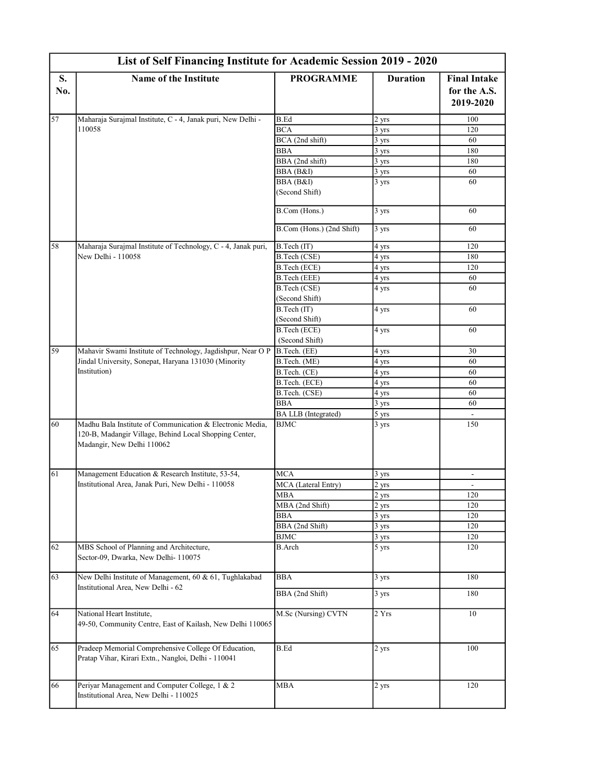|           | List of Self Financing Institute for Academic Session 2019 - 2020                                                                                 |                                |                    |                                     |
|-----------|---------------------------------------------------------------------------------------------------------------------------------------------------|--------------------------------|--------------------|-------------------------------------|
| S.<br>No. | Name of the Institute                                                                                                                             | <b>PROGRAMME</b>               | <b>Duration</b>    | <b>Final Intake</b><br>for the A.S. |
|           |                                                                                                                                                   |                                |                    | 2019-2020                           |
| 57        | Maharaja Surajmal Institute, C - 4, Janak puri, New Delhi -                                                                                       | <b>B.Ed</b>                    | 2 yrs              | 100                                 |
|           | 110058                                                                                                                                            | <b>BCA</b>                     | 3 yrs              | 120                                 |
|           |                                                                                                                                                   | BCA (2nd shift)                | 3 yrs              | 60                                  |
|           |                                                                                                                                                   | <b>BBA</b>                     | $\overline{3}$ yrs | 180                                 |
|           |                                                                                                                                                   | BBA (2nd shift)                | 3 yrs              | 180                                 |
|           |                                                                                                                                                   | BBA (B&I)                      | 3 yrs              | 60                                  |
|           |                                                                                                                                                   | BBA (B&I)<br>(Second Shift)    | 3 yrs              | 60                                  |
|           |                                                                                                                                                   | B.Com (Hons.)                  | 3 yrs              | 60                                  |
|           |                                                                                                                                                   | B.Com (Hons.) (2nd Shift)      | 3 yrs              | 60                                  |
| 58        | Maharaja Surajmal Institute of Technology, C - 4, Janak puri,<br>New Delhi - 110058                                                               | B. Tech (IT)                   | 4 yrs              | 120                                 |
|           |                                                                                                                                                   | B.Tech (CSE)                   | 4 yrs              | 180                                 |
|           |                                                                                                                                                   | B.Tech (ECE)                   | 4 yrs              | 120                                 |
|           |                                                                                                                                                   | B.Tech (EEE)                   | 4 yrs              | 60                                  |
|           |                                                                                                                                                   | B.Tech (CSE)<br>(Second Shift) | 4 yrs              | 60                                  |
|           |                                                                                                                                                   | B.Tech (IT)<br>(Second Shift)  | 4 yrs              | 60                                  |
|           |                                                                                                                                                   | B.Tech (ECE)<br>(Second Shift) | 4 yrs              | 60                                  |
| 59        | Mahavir Swami Institute of Technology, Jagdishpur, Near O P                                                                                       | B.Tech. (EE)                   | 4 yrs              | 30                                  |
|           | Jindal University, Sonepat, Haryana 131030 (Minority<br>Institution)                                                                              | B.Tech. (ME)                   | 4 yrs              | 60                                  |
|           |                                                                                                                                                   | B.Tech. (CE)                   | 4 yrs              | 60                                  |
|           |                                                                                                                                                   | B.Tech. (ECE)                  | 4 yrs              | 60                                  |
|           |                                                                                                                                                   | B.Tech. (CSE)                  | 4 yrs              | 60                                  |
|           |                                                                                                                                                   | BBA                            | 3 yrs              | 60                                  |
|           |                                                                                                                                                   | <b>BA LLB</b> (Integrated)     | 5 yrs              |                                     |
| 60        | Madhu Bala Institute of Communication & Electronic Media,<br>120-B, Madangir Village, Behind Local Shopping Center,<br>Madangir, New Delhi 110062 | <b>BJMC</b>                    | 3 yrs              | 150                                 |
| 61        | Management Education & Research Institute, 53-54,                                                                                                 | <b>MCA</b>                     | 3 yrs              |                                     |
|           | Institutional Area, Janak Puri, New Delhi - 110058                                                                                                | MCA (Lateral Entry)            | 2 yrs              | $\overline{\phantom{a}}$            |
|           |                                                                                                                                                   | MBA                            | 2 yrs              | 120                                 |
|           |                                                                                                                                                   | MBA (2nd Shift)                | 2 yrs              | 120                                 |
|           |                                                                                                                                                   | <b>BBA</b>                     | $3 \text{ yrs}$    | 120                                 |
|           |                                                                                                                                                   | BBA (2nd Shift)                | 3 yrs              | 120                                 |
|           |                                                                                                                                                   | <b>BJMC</b>                    | 3 yrs              | 120                                 |
| 62        | MBS School of Planning and Architecture,<br>Sector-09, Dwarka, New Delhi- 110075                                                                  | B.Arch                         | 5 yrs              | 120                                 |
| 63        | New Delhi Institute of Management, 60 & 61, Tughlakabad                                                                                           | <b>BBA</b>                     | 3 yrs              | 180                                 |
|           | Institutional Area, New Delhi - 62                                                                                                                | BBA (2nd Shift)                | 3 yrs              | 180                                 |
| 64        | National Heart Institute,<br>49-50, Community Centre, East of Kailash, New Delhi 110065                                                           | M.Sc (Nursing) CVTN            | 2 Yrs              | 10                                  |
| 65        | Pradeep Memorial Comprehensive College Of Education,<br>Pratap Vihar, Kirari Extn., Nangloi, Delhi - 110041                                       | <b>B.Ed</b>                    | 2 yrs              | 100                                 |
| 66        | Periyar Management and Computer College, 1 & 2<br>Institutional Area, New Delhi - 110025                                                          | <b>MBA</b>                     | 2 yrs              | 120                                 |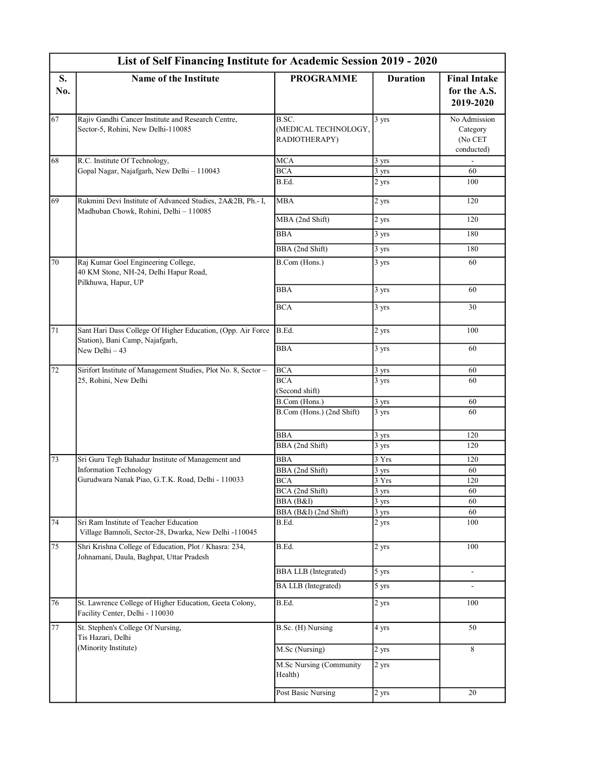|           | List of Self Financing Institute for Academic Session 2019 - 2020                                                                |                                                |                   |                                                   |  |  |  |
|-----------|----------------------------------------------------------------------------------------------------------------------------------|------------------------------------------------|-------------------|---------------------------------------------------|--|--|--|
| S.<br>No. | <b>Name of the Institute</b>                                                                                                     | <b>PROGRAMME</b>                               | <b>Duration</b>   | <b>Final Intake</b><br>for the A.S.<br>2019-2020  |  |  |  |
| 67        | Rajiv Gandhi Cancer Institute and Research Centre,<br>Sector-5, Rohini, New Delhi-110085                                         | B.SC.<br>(MEDICAL TECHNOLOGY,<br>RADIOTHERAPY) | 3 yrs             | No Admission<br>Category<br>(No CET<br>conducted) |  |  |  |
| 68        | R.C. Institute Of Technology,                                                                                                    | MCA                                            | 3 yrs             |                                                   |  |  |  |
|           | Gopal Nagar, Najafgarh, New Delhi - 110043                                                                                       | <b>BCA</b><br>B.Ed.                            | 3 yrs<br>2 yrs    | 60<br>100                                         |  |  |  |
| 69        | Rukmini Devi Institute of Advanced Studies, 2A&2B, Ph.-I,<br>Madhuban Chowk, Rohini, Delhi - 110085                              | <b>MBA</b>                                     | 2 yrs             | 120                                               |  |  |  |
|           |                                                                                                                                  | MBA (2nd Shift)                                | 2 yrs             | 120                                               |  |  |  |
|           |                                                                                                                                  | <b>BBA</b>                                     | 3 yrs             | 180                                               |  |  |  |
|           |                                                                                                                                  | BBA (2nd Shift)                                | 3 yrs             | 180                                               |  |  |  |
| 70        | Raj Kumar Goel Engineering College,<br>40 KM Stone, NH-24, Delhi Hapur Road,<br>Pilkhuwa, Hapur, UP                              | B.Com (Hons.)                                  | 3 yrs             | 60                                                |  |  |  |
|           |                                                                                                                                  | <b>BBA</b>                                     | 3 yrs             | 60                                                |  |  |  |
|           |                                                                                                                                  | <b>BCA</b>                                     | 3 yrs             | 30                                                |  |  |  |
| 71        | Sant Hari Dass College Of Higher Education, (Opp. Air Force<br>Station), Bani Camp, Najafgarh,                                   | B.Ed.                                          | 2 yrs             | 100                                               |  |  |  |
|           | New Delhi - 43                                                                                                                   | <b>BBA</b>                                     | 3 yrs             | 60                                                |  |  |  |
| 72        | Sirifort Institute of Management Studies, Plot No. 8, Sector -                                                                   | <b>BCA</b>                                     | 3 yrs             | 60                                                |  |  |  |
|           | 25, Rohini, New Delhi                                                                                                            | <b>BCA</b><br>(Second shift)                   | 3 yrs             | 60                                                |  |  |  |
|           |                                                                                                                                  | B.Com (Hons.)                                  | 3 yrs             | 60                                                |  |  |  |
|           |                                                                                                                                  | B.Com (Hons.) (2nd Shift)                      | 3 yrs             | 60                                                |  |  |  |
|           |                                                                                                                                  | <b>BBA</b><br>BBA (2nd Shift)                  | 3 yrs<br>3 yrs    | 120<br>120                                        |  |  |  |
| 73        | Sri Guru Tegh Bahadur Institute of Management and<br>Information Technology<br>Gurudwara Nanak Piao, G.T.K. Road, Delhi - 110033 | <b>BBA</b>                                     | 3 Yrs             | 120                                               |  |  |  |
|           |                                                                                                                                  | BBA (2nd Shift)                                | 3 yrs             | 60                                                |  |  |  |
|           |                                                                                                                                  | <b>BCA</b>                                     | 3 Yrs             | 120                                               |  |  |  |
|           |                                                                                                                                  | BCA (2nd Shift)                                | 3 yrs             | 60                                                |  |  |  |
|           |                                                                                                                                  | BBA (B&I)                                      | $\frac{1}{3}$ yrs | 60                                                |  |  |  |
|           |                                                                                                                                  | BBA (B&I) (2nd Shift)                          | 3 yrs             | 60                                                |  |  |  |
| 74        | Sri Ram Institute of Teacher Education<br>Village Bamnoli, Sector-28, Dwarka, New Delhi -110045                                  | $\overline{B.Ed}$ .                            | 2 yrs             | 100                                               |  |  |  |
| 75        | Shri Krishna College of Education, Plot / Khasra: 234,<br>Johnamani, Daula, Baghpat, Uttar Pradesh                               | $\overline{B.Ed}$ .                            | 2 yrs             | 100                                               |  |  |  |
|           |                                                                                                                                  | <b>BBA LLB</b> (Integrated)                    | $5 \text{ yrs}$   | $\overline{\phantom{a}}$                          |  |  |  |
|           |                                                                                                                                  | <b>BA LLB</b> (Integrated)                     | 5 yrs             |                                                   |  |  |  |
| 76        | St. Lawrence College of Higher Education, Geeta Colony,<br>Facility Center, Delhi - 110030                                       | B.Ed.                                          | 2 yrs             | 100                                               |  |  |  |
| 77        | St. Stephen's College Of Nursing,<br>Tis Hazari, Delhi                                                                           | B.Sc. (H) Nursing                              | 4 yrs             | 50                                                |  |  |  |
|           | (Minority Institute)                                                                                                             | M.Sc (Nursing)                                 | 2 yrs             | 8                                                 |  |  |  |
|           |                                                                                                                                  | M.Sc Nursing (Community<br>Health)             | 2 yrs             |                                                   |  |  |  |
|           |                                                                                                                                  | Post Basic Nursing                             | 2 yrs             | 20                                                |  |  |  |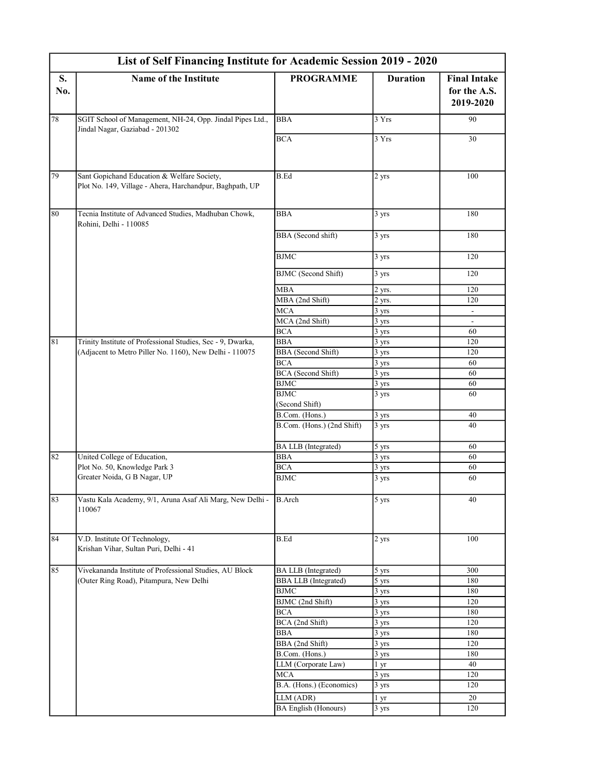|           | List of Self Financing Institute for Academic Session 2019 - 2020                                       |                             |                    |                                                  |  |  |  |
|-----------|---------------------------------------------------------------------------------------------------------|-----------------------------|--------------------|--------------------------------------------------|--|--|--|
| S.<br>No. | <b>Name of the Institute</b>                                                                            | <b>PROGRAMME</b>            | <b>Duration</b>    | <b>Final Intake</b><br>for the A.S.<br>2019-2020 |  |  |  |
| $78\,$    | SGIT School of Management, NH-24, Opp. Jindal Pipes Ltd.,<br>Jindal Nagar, Gaziabad - 201302            | <b>BBA</b>                  | 3 Yrs              | 90                                               |  |  |  |
|           |                                                                                                         | <b>BCA</b>                  | 3 Yrs              | 30                                               |  |  |  |
| 79        | Sant Gopichand Education & Welfare Society,<br>Plot No. 149, Village - Ahera, Harchandpur, Baghpath, UP | B.Ed                        | 2 yrs              | 100                                              |  |  |  |
| $80\,$    | Tecnia Institute of Advanced Studies, Madhuban Chowk,<br>Rohini, Delhi - 110085                         | <b>BBA</b>                  | 3 yrs              | 180                                              |  |  |  |
|           |                                                                                                         | <b>BBA</b> (Second shift)   | 3 yrs              | 180                                              |  |  |  |
|           |                                                                                                         | <b>BJMC</b>                 | 3 yrs              | 120                                              |  |  |  |
|           |                                                                                                         | <b>BJMC</b> (Second Shift)  | 3 yrs              | 120                                              |  |  |  |
|           |                                                                                                         | <b>MBA</b>                  | 2 yrs.             | 120                                              |  |  |  |
|           |                                                                                                         | MBA (2nd Shift)             | 2 yrs.             | 120                                              |  |  |  |
|           |                                                                                                         | <b>MCA</b>                  | 3 yrs              |                                                  |  |  |  |
|           |                                                                                                         | MCA (2nd Shift)             | 3 yrs              | $\blacksquare$                                   |  |  |  |
|           |                                                                                                         | <b>BCA</b>                  | 3 yrs              | 60                                               |  |  |  |
| 81        | Trinity Institute of Professional Studies, Sec - 9, Dwarka,                                             | <b>BBA</b>                  | 3 yrs              | 120                                              |  |  |  |
|           | (Adjacent to Metro Piller No. 1160), New Delhi - 110075                                                 | <b>BBA</b> (Second Shift)   | 3 yrs              | 120                                              |  |  |  |
|           |                                                                                                         | <b>BCA</b>                  | 3 yrs              | 60                                               |  |  |  |
|           |                                                                                                         | BCA (Second Shift)          | 3 yrs              | 60                                               |  |  |  |
|           |                                                                                                         | <b>BJMC</b>                 | 3 yrs              | 60                                               |  |  |  |
|           |                                                                                                         | <b>BJMC</b>                 | 3 yrs              | 60                                               |  |  |  |
|           |                                                                                                         | (Second Shift)              |                    |                                                  |  |  |  |
|           |                                                                                                         | B.Com. (Hons.)              | 3 yrs              | 40                                               |  |  |  |
|           |                                                                                                         | B.Com. (Hons.) (2nd Shift)  | 3 yrs              | 40                                               |  |  |  |
|           |                                                                                                         | <b>BA LLB</b> (Integrated)  | 5 yrs              | 60                                               |  |  |  |
| 82        | United College of Education,                                                                            | <b>BBA</b>                  | 3 yrs              | 60                                               |  |  |  |
|           | Plot No. 50, Knowledge Park 3                                                                           | <b>BCA</b>                  | 3 yrs              | 60                                               |  |  |  |
|           | Greater Noida, G B Nagar, UP                                                                            | <b>BJMC</b>                 | 3 yrs              | 60                                               |  |  |  |
| 83        | Vastu Kala Academy, 9/1, Aruna Asaf Ali Marg, New Delhi -<br>110067                                     | <b>B.Arch</b>               | $\overline{5}$ yrs | 40                                               |  |  |  |
| 84        | V.D. Institute Of Technology,<br>Krishan Vihar, Sultan Puri, Delhi - 41                                 | B.Ed                        | 2 yrs              | 100                                              |  |  |  |
| 85        | Vivekananda Institute of Professional Studies, AU Block<br>(Outer Ring Road), Pitampura, New Delhi      | BA LLB (Integrated)         | 5 yrs              | 300                                              |  |  |  |
|           |                                                                                                         | <b>BBA LLB</b> (Integrated) | 5 yrs              | 180                                              |  |  |  |
|           |                                                                                                         | <b>BJMC</b>                 | 3 yrs              | 180                                              |  |  |  |
|           |                                                                                                         | BJMC (2nd Shift)            | 3 yrs              | 120                                              |  |  |  |
|           |                                                                                                         | <b>BCA</b>                  | 3 yrs              | 180                                              |  |  |  |
|           |                                                                                                         | BCA (2nd Shift)             | 3 yrs              | 120                                              |  |  |  |
|           |                                                                                                         | BBA                         | 3 yrs              | 180                                              |  |  |  |
|           |                                                                                                         | BBA (2nd Shift)             | 3 yrs              | 120                                              |  |  |  |
|           |                                                                                                         | B.Com. (Hons.)              | $3 \text{ yrs}$    | 180                                              |  |  |  |
|           |                                                                                                         | LLM (Corporate Law)         | 1 yr               | 40                                               |  |  |  |
|           |                                                                                                         | <b>MCA</b>                  | 3 yrs              | 120                                              |  |  |  |
|           |                                                                                                         | B.A. (Hons.) (Economics)    | 3 yrs              | 120                                              |  |  |  |
|           |                                                                                                         | LLM (ADR)                   | 1 <sub>yr</sub>    | 20                                               |  |  |  |
|           |                                                                                                         | <b>BA English (Honours)</b> | 3 yrs              | 120                                              |  |  |  |
|           |                                                                                                         |                             |                    |                                                  |  |  |  |